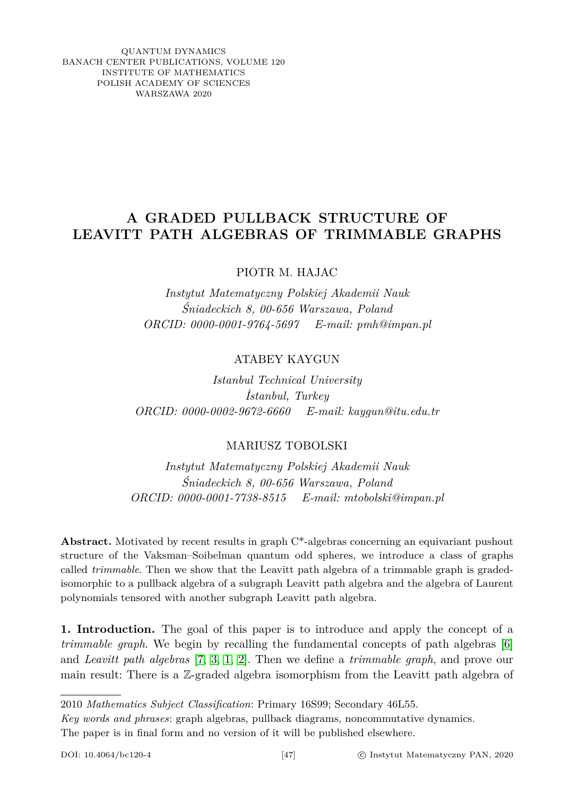QUANTUM DYNAMICS BANACH CENTER PUBLICATIONS, VOLUME 120 INSTITUTE OF MATHEMATICS POLISH ACADEMY OF SCIENCES WARSZAWA 2020

## **A GRADED PULLBACK STRUCTURE OF LEAVITT PATH ALGEBRAS OF TRIMMABLE GRAPHS**

PIOTR M. HAJAC

*Instytut Matematyczny Polskiej Akademii Nauk Śniadeckich 8, 00-656 Warszawa, Poland ORCID: 0000-0001-9764-5697 E-mail: pmh@impan.pl*

ATABEY KAYGUN

*Istanbul Technical University İstanbul, Turkey ORCID: 0000-0002-9672-6660 E-mail: kaygun@itu.edu.tr*

## MARIUSZ TOBOLSKI

*Instytut Matematyczny Polskiej Akademii Nauk Śniadeckich 8, 00-656 Warszawa, Poland ORCID: 0000-0001-7738-8515 E-mail: mtobolski@impan.pl*

Abstract. Motivated by recent results in graph C<sup>\*</sup>-algebras concerning an equivariant pushout structure of the Vaksman–Soibelman quantum odd spheres, we introduce a class of graphs called *trimmable*. Then we show that the Leavitt path algebra of a trimmable graph is gradedisomorphic to a pullback algebra of a subgraph Leavitt path algebra and the algebra of Laurent polynomials tensored with another subgraph Leavitt path algebra.

**1. Introduction.** The goal of this paper is to introduce and apply the concept of a *trimmable graph*. We begin by recalling the fundamental concepts of path algebras [\[6\]](#page-5-0) and *Leavitt path algebras* [\[7,](#page-5-1) [3,](#page-5-2) [1,](#page-5-3) [2\]](#page-5-4). Then we define a *trimmable graph*, and prove our main result: There is a Z-graded algebra isomorphism from the Leavitt path algebra of

2010 *Mathematics Subject Classification*: Primary 16S99; Secondary 46L55.

*Key words and phrases*: graph algebras, pullback diagrams, noncommutative dynamics. The paper is in final form and no version of it will be published elsewhere.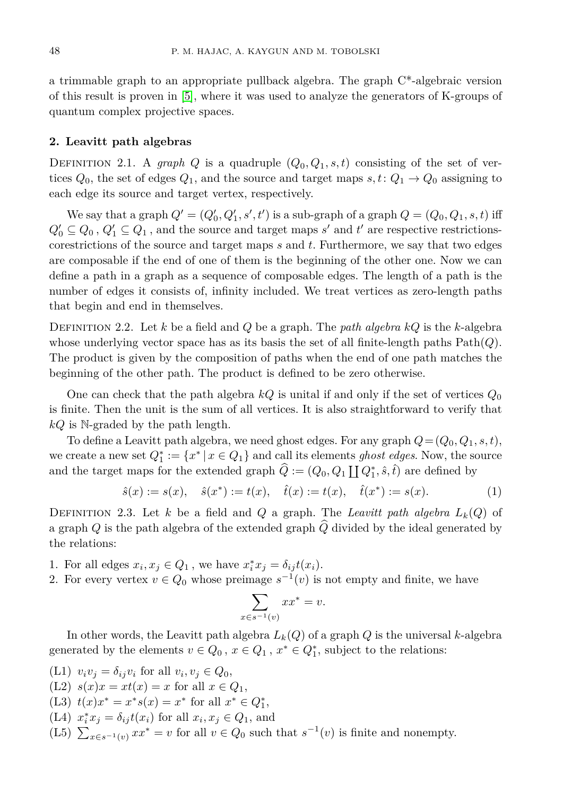a trimmable graph to an appropriate pullback algebra. The graph C\*-algebraic version of this result is proven in [\[5\]](#page-5-5), where it was used to analyze the generators of K-groups of quantum complex projective spaces.

## **2. Leavitt path algebras**

DEFINITION 2.1. A *graph Q* is a quadruple  $(Q_0, Q_1, s, t)$  consisting of the set of vertices  $Q_0$ , the set of edges  $Q_1$ , and the source and target maps  $s, t: Q_1 \to Q_0$  assigning to each edge its source and target vertex, respectively.

We say that a graph  $Q' = (Q'_0, Q'_1, s', t')$  is a sub-graph of a graph  $Q = (Q_0, Q_1, s, t)$  iff  $Q_0' \subseteq Q_0$ ,  $Q_1' \subseteq Q_1$ , and the source and target maps  $s'$  and  $t'$  are respective restrictionscorestrictions of the source and target maps *s* and *t*. Furthermore, we say that two edges are composable if the end of one of them is the beginning of the other one. Now we can define a path in a graph as a sequence of composable edges. The length of a path is the number of edges it consists of, infinity included. We treat vertices as zero-length paths that begin and end in themselves.

Definition 2.2. Let *k* be a field and *Q* be a graph. The *path algebra kQ* is the *k*-algebra whose underlying vector space has as its basis the set of all finite-length paths  $Path(Q)$ . The product is given by the composition of paths when the end of one path matches the beginning of the other path. The product is defined to be zero otherwise.

One can check that the path algebra  $kQ$  is unital if and only if the set of vertices  $Q_0$ is finite. Then the unit is the sum of all vertices. It is also straightforward to verify that *kQ* is N-graded by the path length.

To define a Leavitt path algebra, we need ghost edges. For any graph  $Q = (Q_0, Q_1, s, t)$ , we create a new set  $Q_1^* := \{x^* | x \in Q_1\}$  and call its elements *ghost edges*. Now, the source and the target maps for the extended graph  $\hat{Q} := (Q_0, Q_1 \coprod Q_1^*, \hat{s}, \hat{t})$  are defined by

$$
\hat{s}(x) := s(x), \quad \hat{s}(x^*) := t(x), \quad \hat{t}(x) := t(x), \quad \hat{t}(x^*) := s(x). \tag{1}
$$

DEFINITION 2.3. Let *k* be a field and *Q* a graph. The *Leavitt path algebra*  $L_k(Q)$  of a graph  $Q$  is the path algebra of the extended graph  $\widehat{Q}$  divided by the ideal generated by the relations:

- 1. For all edges  $x_i, x_j \in Q_1$ , we have  $x_i^* x_j = \delta_{ij} t(x_i)$ .
- 2. For every vertex  $v \in Q_0$  whose preimage  $s^{-1}(v)$  is not empty and finite, we have

$$
\sum_{x \in s^{-1}(v)} x x^* = v.
$$

In other words, the Leavitt path algebra *Lk*(*Q*) of a graph *Q* is the universal *k*-algebra generated by the elements  $v \in Q_0$ ,  $x \in Q_1$ ,  $x^* \in Q_1^*$ , subject to the relations:

- $(L1)$   $v_i v_j = \delta_{ij} v_i$  for all  $v_i, v_j \in Q_0$ ,
- (L2)  $s(x)x = xt(x) = x$  for all  $x \in Q_1$ ,
- (L3)  $t(x)x^* = x^*s(x) = x^*$  for all  $x^* \in Q_1^*$ ,
- $(L4)$   $x_i^* x_j = \delta_{ij} t(x_i)$  for all  $x_i, x_j \in Q_1$ , and
- (L5)  $\sum_{x \in s^{-1}(v)} x x^* = v$  for all  $v \in Q_0$  such that  $s^{-1}(v)$  is finite and nonempty.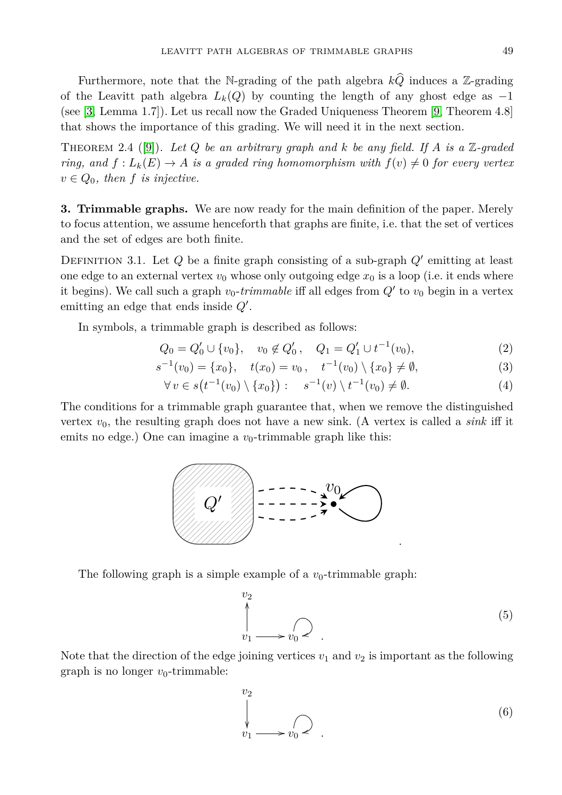Furthermore, note that the N-grading of the path algebra  $k\hat{Q}$  induces a Z-grading of the Leavitt path algebra  $L_k(Q)$  by counting the length of any ghost edge as  $-1$ (see [\[3,](#page-5-2) Lemma 1.7]). Let us recall now the Graded Uniqueness Theorem [\[9,](#page-5-6) Theorem 4.8] that shows the importance of this grading. We will need it in the next section.

<span id="page-2-0"></span>Theorem 2.4 ([\[9\]](#page-5-6)). *Let Q be an arbitrary graph and k be any field. If A is a* Z*-graded ring, and*  $f: L_k(E) \to A$  *is a graded ring homomorphism with*  $f(v) \neq 0$  *for every vertex*  $v \in Q_0$ , then f *is injective*.

**3. Trimmable graphs.** We are now ready for the main definition of the paper. Merely to focus attention, we assume henceforth that graphs are finite, i.e. that the set of vertices and the set of edges are both finite.

DEFINITION 3.1. Let  $Q$  be a finite graph consisting of a sub-graph  $Q'$  emitting at least one edge to an external vertex  $v_0$  whose only outgoing edge  $x_0$  is a loop (i.e. it ends where it begins). We call such a graph  $v_0$ -*trimmable* iff all edges from  $Q'$  to  $v_0$  begin in a vertex emitting an edge that ends inside  $Q'$ .

In symbols, a trimmable graph is described as follows:

$$
Q_0 = Q'_0 \cup \{v_0\}, \quad v_0 \notin Q'_0, \quad Q_1 = Q'_1 \cup t^{-1}(v_0), \tag{2}
$$

$$
s^{-1}(v_0) = \{x_0\}, \quad t(x_0) = v_0, \quad t^{-1}(v_0) \setminus \{x_0\} \neq \emptyset,
$$
\n<sup>(3)</sup>

$$
\forall v \in s(t^{-1}(v_0) \setminus \{x_0\}) : \quad s^{-1}(v) \setminus t^{-1}(v_0) \neq \emptyset. \tag{4}
$$

The conditions for a trimmable graph guarantee that, when we remove the distinguished vertex  $v_0$ , the resulting graph does not have a new sink. (A vertex is called a *sink* iff it emits no edge.) One can imagine a  $v_0$ -trimmable graph like this:



The following graph is a simple example of a  $v_0$ -trimmable graph:

$$
\downarrow^{\text{v}_2} \qquad \qquad (5)
$$
\n
$$
\downarrow^{\text{v}_1} \qquad \qquad (5)
$$

.

Note that the direction of the edge joining vertices  $v_1$  and  $v_2$  is important as the following graph is no longer  $v_0$ -trimmable:

$$
\begin{array}{ccc}\n & & & \\
& \downarrow & & \\
& v_1 \longrightarrow v_0 \longrightarrow \end{array} \tag{6}
$$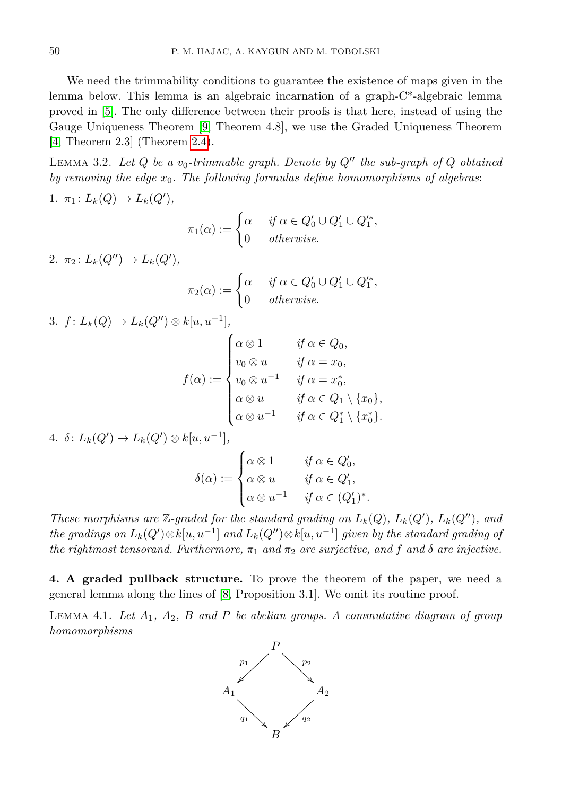We need the trimmability conditions to guarantee the existence of maps given in the lemma below. This lemma is an algebraic incarnation of a graph-C\*-algebraic lemma proved in [\[5\]](#page-5-5). The only difference between their proofs is that here, instead of using the Gauge Uniqueness Theorem [\[9,](#page-5-6) Theorem 4.8], we use the Graded Uniqueness Theorem [\[4,](#page-5-7) Theorem 2.3] (Theorem [2.4\)](#page-2-0).

<span id="page-3-1"></span>LEMMA 3.2. Let  $Q$  be a  $v_0$ -trimmable graph. Denote by  $Q''$  the sub-graph of  $Q$  obtained *by removing the edge x*0*. The following formulas define homomorphisms of algebras*: 1.  $\pi_1: L_k(Q) \to L_k(Q'),$ 

$$
\pi_1(\alpha) := \begin{cases} \alpha & \text{if } \alpha \in Q'_0 \cup Q'_1 \cup Q'^*_1, \\ 0 & \text{otherwise.} \end{cases}
$$

 $2. \ \pi_2 \colon L_k(Q'') \to L_k(Q'),$ 

$$
\pi_2(\alpha) := \begin{cases} \alpha & \text{if } \alpha \in Q'_0 \cup Q'_1 \cup Q'^*_1, \\ 0 & \text{otherwise.} \end{cases}
$$

3.  $f: L_k(Q) \to L_k(Q'') \otimes k[u, u^{-1}],$ 

$$
f(\alpha) := \begin{cases} \alpha \otimes 1 & \text{if } \alpha \in Q_0, \\ v_0 \otimes u & \text{if } \alpha = x_0, \\ v_0 \otimes u^{-1} & \text{if } \alpha = x_0^*, \\ \alpha \otimes u & \text{if } \alpha \in Q_1 \setminus \{x_0\}, \\ \alpha \otimes u^{-1} & \text{if } \alpha \in Q_1^* \setminus \{x_0^*\}. \end{cases}
$$

 $4. \delta: L_k(Q') \to L_k(Q') \otimes k[u, u^{-1}],$ 

$$
\delta(\alpha) := \begin{cases} \alpha \otimes 1 & \text{if } \alpha \in Q'_0, \\ \alpha \otimes u & \text{if } \alpha \in Q'_1, \\ \alpha \otimes u^{-1} & \text{if } \alpha \in (Q'_1)^* . \end{cases}
$$

*These morphisms are*  $\mathbb{Z}$ -graded for the standard grading on  $L_k(Q)$ ,  $L_k(Q')$ ,  $L_k(Q'')$ , and  $the\ gradients\ on\ L_k(Q')\!\otimes\! k[u,u^{-1}]\ and\ L_k(Q'')\!\otimes\! k[u,u^{-1}]$  given by the standard grading of *the rightmost tensorand. Furthermore,*  $\pi_1$  *and*  $\pi_2$  *are surjective, and*  $f$  *and*  $\delta$  *are injective.* 

**4. A graded pullback structure.** To prove the theorem of the paper, we need a general lemma along the lines of [\[8,](#page-5-8) Proposition 3.1]. We omit its routine proof.

<span id="page-3-0"></span>Lemma 4.1. *Let A*1*, A*2*, B and P be abelian groups. A commutative diagram of group homomorphisms*

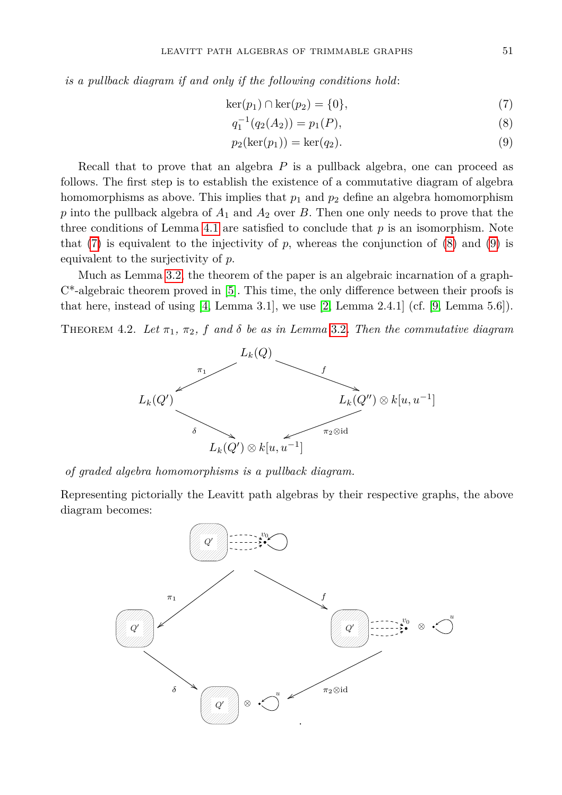*is a pullback diagram if and only if the following conditions hold*:

$$
\ker(p_1) \cap \ker(p_2) = \{0\},\tag{7}
$$

<span id="page-4-2"></span><span id="page-4-1"></span><span id="page-4-0"></span>
$$
q_1^{-1}(q_2(A_2)) = p_1(P), \tag{8}
$$

$$
p_2(\ker(p_1)) = \ker(q_2). \tag{9}
$$

Recall that to prove that an algebra *P* is a pullback algebra, one can proceed as follows. The first step is to establish the existence of a commutative diagram of algebra homomorphisms as above. This implies that  $p_1$  and  $p_2$  define an algebra homomorphism *p* into the pullback algebra of *A*<sup>1</sup> and *A*<sup>2</sup> over *B*. Then one only needs to prove that the three conditions of Lemma [4.1](#page-3-0) are satisfied to conclude that  $p$  is an isomorphism. Note that  $(7)$  is equivalent to the injectivity of  $p$ , whereas the conjunction of  $(8)$  and  $(9)$  is equivalent to the surjectivity of *p*.

Much as Lemma [3.2,](#page-3-1) the theorem of the paper is an algebraic incarnation of a graph- $C^*$ -algebraic theorem proved in [\[5\]](#page-5-5). This time, the only difference between their proofs is that here, instead of using  $(4, \text{ Lemma } 3.1]$ , we use  $(2, \text{Lemma } 2.4.1]$  (cf.  $(9, \text{Lemma } 5.6])$ .

THEOREM 4.2. Let  $\pi_1$ ,  $\pi_2$ , f and  $\delta$  be as in Lemma [3.2](#page-3-1). Then the commutative diagram



*of graded algebra homomorphisms is a pullback diagram.*

Representing pictorially the Leavitt path algebras by their respective graphs, the above diagram becomes: